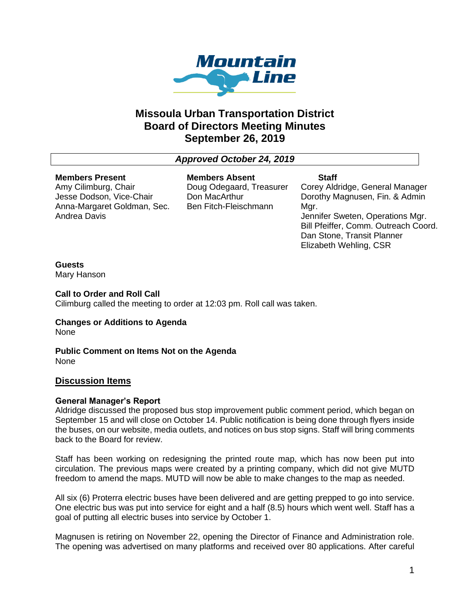

# **Missoula Urban Transportation District Board of Directors Meeting Minutes September 26, 2019**

# *Approved October 24, 2019*

# **Members Present**

Amy Cilimburg, Chair Jesse Dodson, Vice-Chair Anna-Margaret Goldman, Sec. Andrea Davis

**Members Absent** Doug Odegaard, Treasurer Don MacArthur Ben Fitch-Fleischmann

**Staff** Corey Aldridge, General Manager Dorothy Magnusen, Fin. & Admin Mgr. Jennifer Sweten, Operations Mgr. Bill Pfeiffer, Comm. Outreach Coord. Dan Stone, Transit Planner Elizabeth Wehling, CSR

# **Guests**

Mary Hanson

**Call to Order and Roll Call** Cilimburg called the meeting to order at 12:03 pm. Roll call was taken.

**Changes or Additions to Agenda** None

**Public Comment on Items Not on the Agenda** None

# **Discussion Items**

### **General Manager's Report**

Aldridge discussed the proposed bus stop improvement public comment period, which began on September 15 and will close on October 14. Public notification is being done through flyers inside the buses, on our website, media outlets, and notices on bus stop signs. Staff will bring comments back to the Board for review.

Staff has been working on redesigning the printed route map, which has now been put into circulation. The previous maps were created by a printing company, which did not give MUTD freedom to amend the maps. MUTD will now be able to make changes to the map as needed.

All six (6) Proterra electric buses have been delivered and are getting prepped to go into service. One electric bus was put into service for eight and a half (8.5) hours which went well. Staff has a goal of putting all electric buses into service by October 1.

Magnusen is retiring on November 22, opening the Director of Finance and Administration role. The opening was advertised on many platforms and received over 80 applications. After careful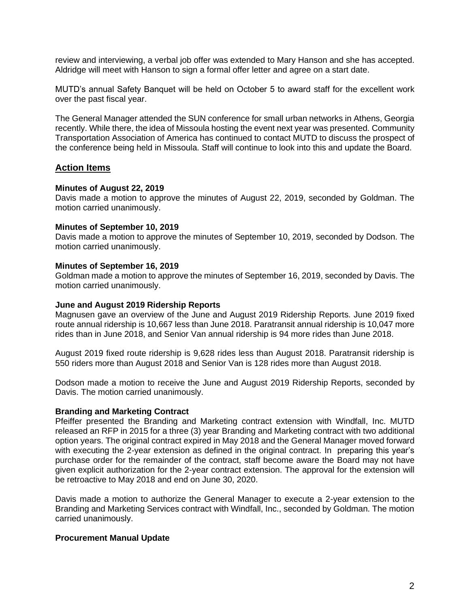review and interviewing, a verbal job offer was extended to Mary Hanson and she has accepted. Aldridge will meet with Hanson to sign a formal offer letter and agree on a start date.

MUTD's annual Safety Banquet will be held on October 5 to award staff for the excellent work over the past fiscal year.

The General Manager attended the SUN conference for small urban networks in Athens, Georgia recently. While there, the idea of Missoula hosting the event next year was presented. Community Transportation Association of America has continued to contact MUTD to discuss the prospect of the conference being held in Missoula. Staff will continue to look into this and update the Board.

### **Action Items**

#### **Minutes of August 22, 2019**

Davis made a motion to approve the minutes of August 22, 2019, seconded by Goldman. The motion carried unanimously.

#### **Minutes of September 10, 2019**

Davis made a motion to approve the minutes of September 10, 2019, seconded by Dodson. The motion carried unanimously.

#### **Minutes of September 16, 2019**

Goldman made a motion to approve the minutes of September 16, 2019, seconded by Davis. The motion carried unanimously.

#### **June and August 2019 Ridership Reports**

Magnusen gave an overview of the June and August 2019 Ridership Reports. June 2019 fixed route annual ridership is 10,667 less than June 2018. Paratransit annual ridership is 10,047 more rides than in June 2018, and Senior Van annual ridership is 94 more rides than June 2018.

August 2019 fixed route ridership is 9,628 rides less than August 2018. Paratransit ridership is 550 riders more than August 2018 and Senior Van is 128 rides more than August 2018.

Dodson made a motion to receive the June and August 2019 Ridership Reports, seconded by Davis. The motion carried unanimously.

#### **Branding and Marketing Contract**

Pfeiffer presented the Branding and Marketing contract extension with Windfall, Inc. MUTD released an RFP in 2015 for a three (3) year Branding and Marketing contract with two additional option years. The original contract expired in May 2018 and the General Manager moved forward with executing the 2-year extension as defined in the original contract. In preparing this year's purchase order for the remainder of the contract, staff become aware the Board may not have given explicit authorization for the 2-year contract extension. The approval for the extension will be retroactive to May 2018 and end on June 30, 2020.

Davis made a motion to authorize the General Manager to execute a 2-year extension to the Branding and Marketing Services contract with Windfall, Inc., seconded by Goldman. The motion carried unanimously.

#### **Procurement Manual Update**